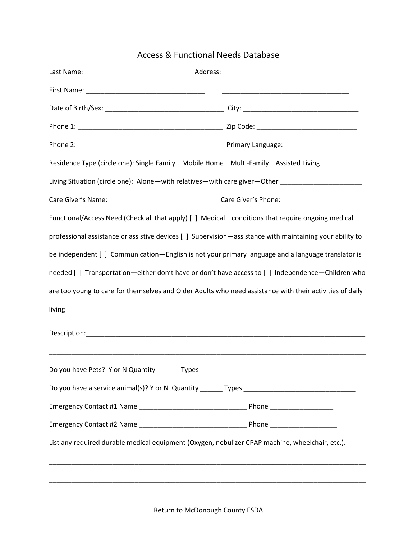## Access & Functional Needs Database

| Residence Type (circle one): Single Family-Mobile Home-Multi-Family-Assisted Living |                                                                                                          |
|-------------------------------------------------------------------------------------|----------------------------------------------------------------------------------------------------------|
|                                                                                     | Living Situation (circle one): Alone—with relatives—with care giver—Other _________________________      |
|                                                                                     |                                                                                                          |
|                                                                                     | Functional/Access Need (Check all that apply) [ ] Medical—conditions that require ongoing medical        |
|                                                                                     | professional assistance or assistive devices [ ] Supervision—assistance with maintaining your ability to |
|                                                                                     | be independent [ ] Communication—English is not your primary language and a language translator is       |
|                                                                                     | needed [] Transportation—either don't have or don't have access to [] Independence—Children who          |
|                                                                                     | are too young to care for themselves and Older Adults who need assistance with their activities of daily |
| living                                                                              |                                                                                                          |
|                                                                                     |                                                                                                          |
| Do you have Pets? Y or N Quantity<br>Types                                          |                                                                                                          |
|                                                                                     |                                                                                                          |
|                                                                                     |                                                                                                          |
|                                                                                     |                                                                                                          |
|                                                                                     | List any required durable medical equipment (Oxygen, nebulizer CPAP machine, wheelchair, etc.).          |
|                                                                                     |                                                                                                          |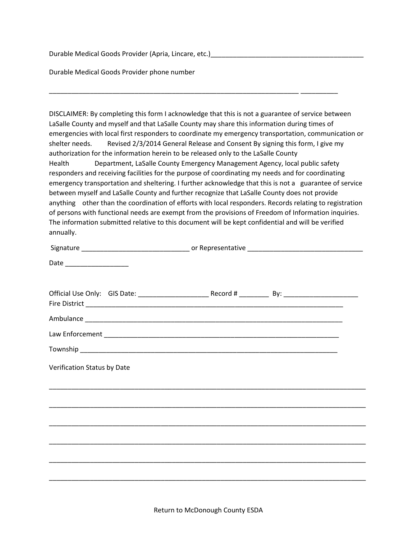Durable Medical Goods Provider (Apria, Lincare, etc.)

Durable Medical Goods Provider phone number

DISCLAIMER: By completing this form I acknowledge that this is not a guarantee of service between LaSalle County and myself and that LaSalle County may share this information during times of emergencies with local first responders to coordinate my emergency transportation, communication or shelter needs. Revised 2/3/2014 General Release and Consent By signing this form, I give my authorization for the information herein to be released only to the LaSalle County Health Department, LaSalle County Emergency Management Agency, local public safety responders and receiving facilities for the purpose of coordinating my needs and for coordinating emergency transportation and sheltering. I further acknowledge that this is not a guarantee of service between myself and LaSalle County and further recognize that LaSalle County does not provide anything other than the coordination of efforts with local responders. Records relating to registration of persons with functional needs are exempt from the provisions of Freedom of Information inquiries. The information submitted relative to this document will be kept confidential and will be verified annually.

\_\_\_\_\_\_\_\_\_\_\_\_\_\_\_\_\_\_\_\_\_\_\_\_\_\_\_\_\_\_\_\_\_\_\_\_\_\_\_\_\_\_\_\_\_\_\_\_\_\_\_\_\_\_\_\_\_\_\_\_\_\_\_\_\_\_\_ \_\_\_\_\_\_\_\_\_\_

| Date _______________________                                |  |  |
|-------------------------------------------------------------|--|--|
|                                                             |  |  |
|                                                             |  |  |
|                                                             |  |  |
|                                                             |  |  |
|                                                             |  |  |
| Verification Status by Date                                 |  |  |
|                                                             |  |  |
|                                                             |  |  |
|                                                             |  |  |
| <u> 1989 - Johann Stoff, amerikansk politiker (d. 1989)</u> |  |  |
|                                                             |  |  |